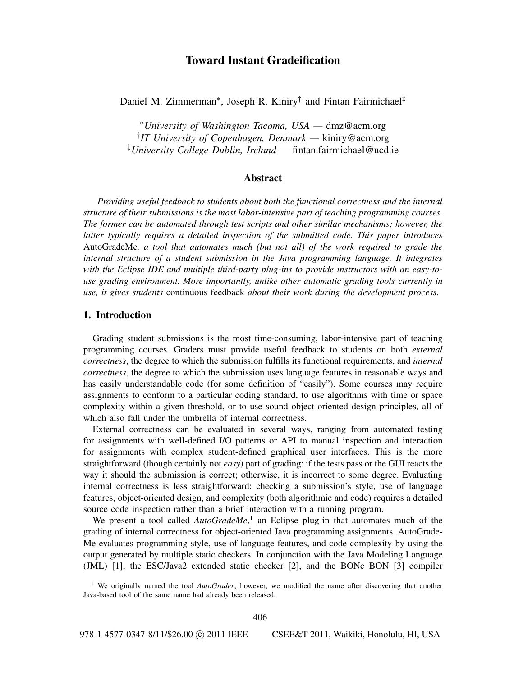# Toward Instant Gradeification

Daniel M. Zimmerman∗ , Joseph R. Kiniry† and Fintan Fairmichael‡

∗*University of Washington Tacoma, USA —* dmz@acm.org † *IT University of Copenhagen, Denmark —* kiniry@acm.org ‡*University College Dublin, Ireland —* fintan.fairmichael@ucd.ie

## Abstract

*Providing useful feedback to students about both the functional correctness and the internal structure of their submissions is the most labor-intensive part of teaching programming courses. The former can be automated through test scripts and other similar mechanisms; however, the latter typically requires a detailed inspection of the submitted code. This paper introduces* AutoGradeMe*, a tool that automates much (but not all) of the work required to grade the internal structure of a student submission in the Java programming language. It integrates with the Eclipse IDE and multiple third-party plug-ins to provide instructors with an easy-touse grading environment. More importantly, unlike other automatic grading tools currently in use, it gives students* continuous feedback *about their work during the development process.*

#### 1. Introduction

Grading student submissions is the most time-consuming, labor-intensive part of teaching programming courses. Graders must provide useful feedback to students on both *external correctness*, the degree to which the submission fulfills its functional requirements, and *internal correctness*, the degree to which the submission uses language features in reasonable ways and has easily understandable code (for some definition of "easily"). Some courses may require assignments to conform to a particular coding standard, to use algorithms with time or space complexity within a given threshold, or to use sound object-oriented design principles, all of which also fall under the umbrella of internal correctness.

External correctness can be evaluated in several ways, ranging from automated testing for assignments with well-defined I/O patterns or API to manual inspection and interaction for assignments with complex student-defined graphical user interfaces. This is the more straightforward (though certainly not *easy*) part of grading: if the tests pass or the GUI reacts the way it should the submission is correct; otherwise, it is incorrect to some degree. Evaluating internal correctness is less straightforward: checking a submission's style, use of language features, object-oriented design, and complexity (both algorithmic and code) requires a detailed source code inspection rather than a brief interaction with a running program.

We present a tool called *AutoGradeMe*,<sup>1</sup> an Eclipse plug-in that automates much of the grading of internal correctness for object-oriented Java programming assignments. AutoGrade-Me evaluates programming style, use of language features, and code complexity by using the output generated by multiple static checkers. In conjunction with the Java Modeling Language (JML) [1], the ESC/Java2 extended static checker [2], and the BONc BON [3] compiler

978-1-4577-0347-8/11/\$26.00 © 2011 IEEE CSEE&T 2011, Waikiki, Honolulu, HI, USA

<sup>&</sup>lt;sup>1</sup> We originally named the tool *AutoGrader*; however, we modified the name after discovering that another Java-based tool of the same name had already been released.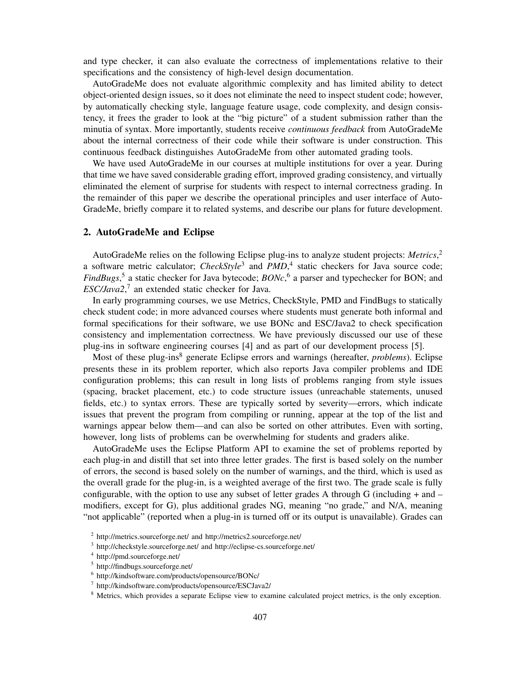and type checker, it can also evaluate the correctness of implementations relative to their specifications and the consistency of high-level design documentation.

AutoGradeMe does not evaluate algorithmic complexity and has limited ability to detect object-oriented design issues, so it does not eliminate the need to inspect student code; however, by automatically checking style, language feature usage, code complexity, and design consistency, it frees the grader to look at the "big picture" of a student submission rather than the minutia of syntax. More importantly, students receive *continuous feedback* from AutoGradeMe about the internal correctness of their code while their software is under construction. This continuous feedback distinguishes AutoGradeMe from other automated grading tools.

We have used AutoGradeMe in our courses at multiple institutions for over a year. During that time we have saved considerable grading effort, improved grading consistency, and virtually eliminated the element of surprise for students with respect to internal correctness grading. In the remainder of this paper we describe the operational principles and user interface of Auto-GradeMe, briefly compare it to related systems, and describe our plans for future development.

### 2. AutoGradeMe and Eclipse

AutoGradeMe relies on the following Eclipse plug-ins to analyze student projects: *Metrics*, 2 a software metric calculator; *CheckStyle*<sup>3</sup> and *PMD*,<sup>4</sup> static checkers for Java source code; *FindBugs*, 5 a static checker for Java bytecode; *BONc*, 6 a parser and typechecker for BON; and *ESC/Java2*, 7 an extended static checker for Java.

In early programming courses, we use Metrics, CheckStyle, PMD and FindBugs to statically check student code; in more advanced courses where students must generate both informal and formal specifications for their software, we use BONc and ESC/Java2 to check specification consistency and implementation correctness. We have previously discussed our use of these plug-ins in software engineering courses [4] and as part of our development process [5].

Most of these plug-ins<sup>8</sup> generate Eclipse errors and warnings (hereafter, *problems*). Eclipse presents these in its problem reporter, which also reports Java compiler problems and IDE configuration problems; this can result in long lists of problems ranging from style issues (spacing, bracket placement, etc.) to code structure issues (unreachable statements, unused fields, etc.) to syntax errors. These are typically sorted by severity—errors, which indicate issues that prevent the program from compiling or running, appear at the top of the list and warnings appear below them—and can also be sorted on other attributes. Even with sorting, however, long lists of problems can be overwhelming for students and graders alike.

AutoGradeMe uses the Eclipse Platform API to examine the set of problems reported by each plug-in and distill that set into three letter grades. The first is based solely on the number of errors, the second is based solely on the number of warnings, and the third, which is used as the overall grade for the plug-in, is a weighted average of the first two. The grade scale is fully configurable, with the option to use any subset of letter grades A through G (including  $+$  and  $$ modifiers, except for G), plus additional grades NG, meaning "no grade," and N/A, meaning "not applicable" (reported when a plug-in is turned off or its output is unavailable). Grades can

<sup>&</sup>lt;sup>2</sup> http://metrics.sourceforge.net/ and http://metrics2.sourceforge.net/

<sup>&</sup>lt;sup>3</sup> http://checkstyle.sourceforge.net/ and http://eclipse-cs.sourceforge.net/

<sup>4</sup> http://pmd.sourceforge.net/

<sup>5</sup> http://findbugs.sourceforge.net/

<sup>6</sup> http://kindsoftware.com/products/opensource/BONc/

<sup>7</sup> http://kindsoftware.com/products/opensource/ESCJava2/

<sup>8</sup> Metrics, which provides a separate Eclipse view to examine calculated project metrics, is the only exception.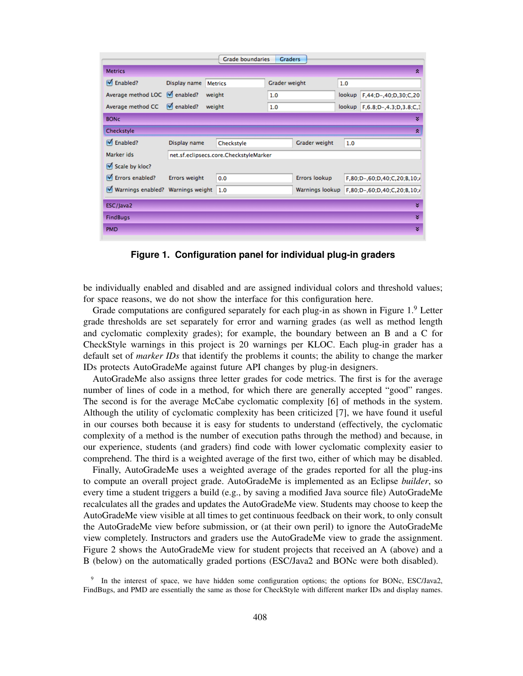| <b>Grade boundaries</b><br><b>Graders</b> |                                        |                |                      |                      |        |                                 |  |
|-------------------------------------------|----------------------------------------|----------------|----------------------|----------------------|--------|---------------------------------|--|
| <b>Metrics</b>                            |                                        |                |                      |                      |        | 交                               |  |
| Enabled?<br>⊠                             | Display name                           | <b>Metrics</b> | <b>Grader weight</b> |                      | 1.0    |                                 |  |
| Average method LOC Ø                      | enabled?                               | weight         | 1.0                  |                      | lookup | F,44;D-,40;D,30;C,20            |  |
| Average method CC                         | ☑<br>enabled?                          | weight         | 1.0                  |                      | lookup | $F, 6.8; D-, 4.3; D, 3.8; C, 3$ |  |
| <b>BONC</b>                               |                                        |                |                      |                      |        | ¥                               |  |
| Checkstyle<br>穴                           |                                        |                |                      |                      |        |                                 |  |
| Enabled?<br>丙                             | Display name                           | Checkstyle     |                      | <b>Grader weight</b> | 1.0    |                                 |  |
| Marker ids                                | net.sf.eclipsecs.core.CheckstyleMarker |                |                      |                      |        |                                 |  |
| Scale by kloc?                            |                                        |                |                      |                      |        |                                 |  |
| ☑<br>Errors enabled?                      | Errors weight                          | 0.0            |                      | Errors lookup        |        | F,80;D-,60;D,40;C,20;B,10;/     |  |
| Warnings enabled? Warnings weight<br>☑    |                                        | 1.0            |                      | Warnings lookup      |        | F,80;D-,60;D,40;C,20;B,10;/     |  |
| ×.<br>ESC/Java2                           |                                        |                |                      |                      |        |                                 |  |
| ×.<br><b>FindBugs</b>                     |                                        |                |                      |                      |        |                                 |  |
| <b>PMD</b>                                |                                        |                |                      |                      |        | ×.                              |  |

**Figure 1. Configuration panel for individual plug-in graders**

be individually enabled and disabled and are assigned individual colors and threshold values; for space reasons, we do not show the interface for this configuration here.

Grade computations are configured separately for each plug-in as shown in Figure 1.<sup>9</sup> Letter grade thresholds are set separately for error and warning grades (as well as method length and cyclomatic complexity grades); for example, the boundary between an B and a C for CheckStyle warnings in this project is 20 warnings per KLOC. Each plug-in grader has a default set of *marker IDs* that identify the problems it counts; the ability to change the marker IDs protects AutoGradeMe against future API changes by plug-in designers.

AutoGradeMe also assigns three letter grades for code metrics. The first is for the average number of lines of code in a method, for which there are generally accepted "good" ranges. The second is for the average McCabe cyclomatic complexity [6] of methods in the system. Although the utility of cyclomatic complexity has been criticized [7], we have found it useful in our courses both because it is easy for students to understand (effectively, the cyclomatic complexity of a method is the number of execution paths through the method) and because, in our experience, students (and graders) find code with lower cyclomatic complexity easier to comprehend. The third is a weighted average of the first two, either of which may be disabled.

Finally, AutoGradeMe uses a weighted average of the grades reported for all the plug-ins to compute an overall project grade. AutoGradeMe is implemented as an Eclipse *builder*, so every time a student triggers a build (e.g., by saving a modified Java source file) AutoGradeMe recalculates all the grades and updates the AutoGradeMe view. Students may choose to keep the AutoGradeMe view visible at all times to get continuous feedback on their work, to only consult the AutoGradeMe view before submission, or (at their own peril) to ignore the AutoGradeMe view completely. Instructors and graders use the AutoGradeMe view to grade the assignment. Figure 2 shows the AutoGradeMe view for student projects that received an A (above) and a B (below) on the automatically graded portions (ESC/Java2 and BONc were both disabled).

<sup>9</sup> In the interest of space, we have hidden some configuration options; the options for BONc, ESC/Java2, FindBugs, and PMD are essentially the same as those for CheckStyle with different marker IDs and display names.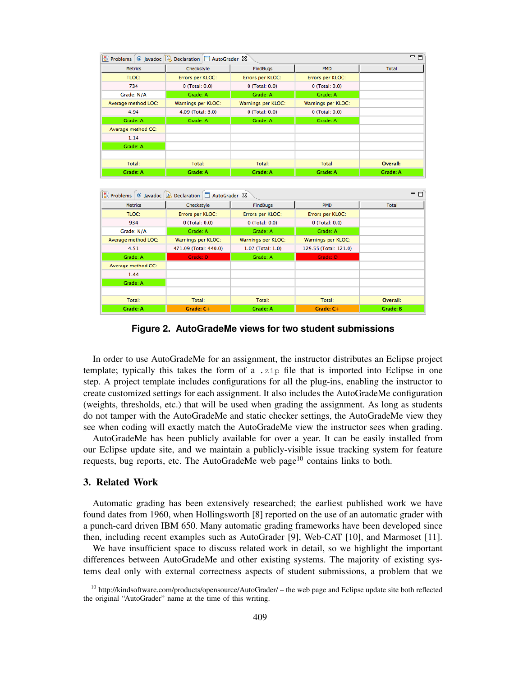| $=$ $E$<br>厭<br>a Javadoc & Declaration   AutoGrader &<br>Problems |                    |                     |                    |                 |  |  |
|--------------------------------------------------------------------|--------------------|---------------------|--------------------|-----------------|--|--|
| <b>Metrics</b>                                                     | Checkstyle         | FindBugs            | <b>PMD</b>         | Total           |  |  |
| TLOC:                                                              | Errors per KLOC:   | Errors per KLOC:    | Errors per KLOC:   |                 |  |  |
| 734                                                                | 0 (Total: 0.0)     | $0$ (Total: $0.0$ ) | 0 (Total: 0.0)     |                 |  |  |
| Grade: N/A                                                         | Grade: A           | Grade: A            | Grade: A           |                 |  |  |
| Average method LOC:                                                | Warnings per KLOC: | Warnings per KLOC:  | Warnings per KLOC: |                 |  |  |
| 4.94                                                               | 4.09 (Total: 3.0)  | 0 (Total: 0.0)      | 0 (Total: 0.0)     |                 |  |  |
| Grade: A                                                           | Grade: A           | Grade: A            | Grade: A           |                 |  |  |
| Average method CC:                                                 |                    |                     |                    |                 |  |  |
| 1.14                                                               |                    |                     |                    |                 |  |  |
| Grade: A                                                           |                    |                     |                    |                 |  |  |
|                                                                    |                    |                     |                    |                 |  |  |
| Total:                                                             | Total:             | Total:              | Total:             | Overall:        |  |  |
| <b>Grade: A</b>                                                    | <b>Grade: A</b>    | <b>Grade: A</b>     | <b>Grade: A</b>    | <b>Grade: A</b> |  |  |

| Reproblems<br>a Javadoc & Declaration   AutoGrader & |                       |                     |                       |                 |  |  |
|------------------------------------------------------|-----------------------|---------------------|-----------------------|-----------------|--|--|
| Metrics                                              | Checkstyle            | <b>FindBugs</b>     | <b>PMD</b>            | Total           |  |  |
| TLOC:                                                | Errors per KLOC:      | Errors per KLOC:    | Errors per KLOC:      |                 |  |  |
| 934                                                  | 0 (Total: 0.0)        | $0$ (Total: $0.0$ ) | $0$ (Total: $0.0$ )   |                 |  |  |
| Grade: N/A                                           | Grade: A              | Grade: A            | Grade: A              |                 |  |  |
| Average method LOC:                                  | Warnings per KLOC:    | Warnings per KLOC:  | Warnings per KLOC:    |                 |  |  |
| 4.51                                                 | 471.09 (Total: 440.0) | 1.07 (Total: 1.0)   | 129.55 (Total: 121.0) |                 |  |  |
| Grade: A                                             | Grade: D              | Grade: A            | Grade: D              |                 |  |  |
| Average method CC:                                   |                       |                     |                       |                 |  |  |
| 1.44                                                 |                       |                     |                       |                 |  |  |
| Grade: A                                             |                       |                     |                       |                 |  |  |
|                                                      |                       |                     |                       |                 |  |  |
| Total:                                               | Total:                | Total:              | Total:                | Overall:        |  |  |
| Grade: A                                             | Grade: C+             | Grade: A            | Grade: C+             | <b>Grade: B</b> |  |  |

**Figure 2. AutoGradeMe views for two student submissions**

In order to use AutoGradeMe for an assignment, the instructor distributes an Eclipse project template; typically this takes the form of a .zip file that is imported into Eclipse in one step. A project template includes configurations for all the plug-ins, enabling the instructor to create customized settings for each assignment. It also includes the AutoGradeMe configuration (weights, thresholds, etc.) that will be used when grading the assignment. As long as students do not tamper with the AutoGradeMe and static checker settings, the AutoGradeMe view they see when coding will exactly match the AutoGradeMe view the instructor sees when grading.

AutoGradeMe has been publicly available for over a year. It can be easily installed from our Eclipse update site, and we maintain a publicly-visible issue tracking system for feature requests, bug reports, etc. The AutoGradeMe web page<sup>10</sup> contains links to both.

#### 3. Related Work

Automatic grading has been extensively researched; the earliest published work we have found dates from 1960, when Hollingsworth [8] reported on the use of an automatic grader with a punch-card driven IBM 650. Many automatic grading frameworks have been developed since then, including recent examples such as AutoGrader [9], Web-CAT [10], and Marmoset [11].

We have insufficient space to discuss related work in detail, so we highlight the important differences between AutoGradeMe and other existing systems. The majority of existing systems deal only with external correctness aspects of student submissions, a problem that we

<sup>&</sup>lt;sup>10</sup> http://kindsoftware.com/products/opensource/AutoGrader/ – the web page and Eclipse update site both reflected the original "AutoGrader" name at the time of this writing.